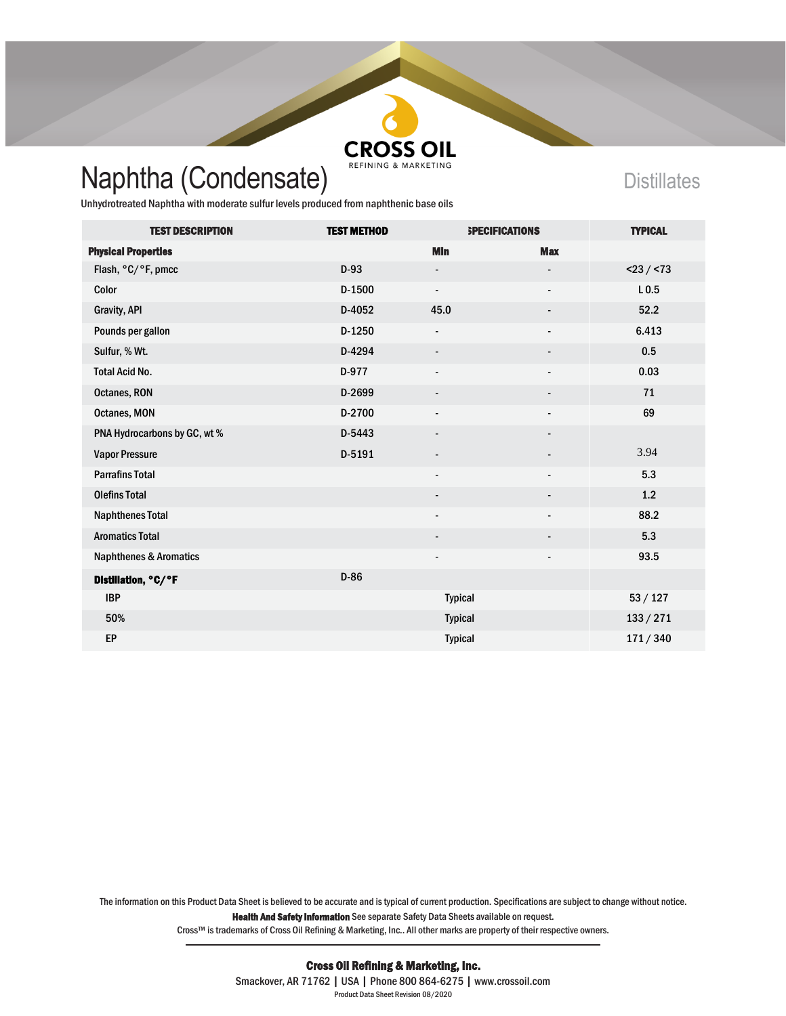

## Naphtha (Condensate) REFINING & MARKETING

Unhydrotreated Naphtha with moderate sulfur levels produced from naphthenic base oils

| <b>TEST DESCRIPTION</b>           | <b>TEST METHOD</b> |                          | <b>SPECIFICATIONS</b>    | <b>TYPICAL</b>   |
|-----------------------------------|--------------------|--------------------------|--------------------------|------------------|
| <b>Physical Properties</b>        |                    | <b>MIn</b>               | <b>Max</b>               |                  |
| Flash, °C/°F, pmcc                | $D-93$             | $\overline{\phantom{a}}$ |                          | $<$ 23 / $<$ 73  |
| Color                             | $D-1500$           | $\overline{\phantom{a}}$ | $\overline{\phantom{0}}$ | L <sub>0.5</sub> |
| Gravity, API                      | D-4052             | 45.0                     | -                        | 52.2             |
| Pounds per gallon                 | $D-1250$           | $\overline{\phantom{a}}$ | $\overline{\phantom{0}}$ | 6.413            |
| Sulfur, % Wt.                     | D-4294             |                          |                          | 0.5              |
| <b>Total Acid No.</b>             | D-977              | $\overline{\phantom{a}}$ |                          | 0.03             |
| Octanes, RON                      | D-2699             | $\overline{\phantom{a}}$ | $\overline{\phantom{a}}$ | 71               |
| Octanes, MON                      | D-2700             | $\overline{a}$           |                          | 69               |
| PNA Hydrocarbons by GC, wt%       | D-5443             | $\overline{\phantom{a}}$ |                          |                  |
| <b>Vapor Pressure</b>             | D-5191             | $\overline{\phantom{a}}$ |                          | 3.94             |
| <b>Parrafins Total</b>            |                    | $\overline{\phantom{a}}$ | $\overline{\phantom{0}}$ | 5.3              |
| <b>Olefins Total</b>              |                    | $\overline{\phantom{a}}$ | -                        | 1.2              |
| <b>Naphthenes Total</b>           |                    | $\overline{\phantom{a}}$ | $\overline{\phantom{a}}$ | 88.2             |
| <b>Aromatics Total</b>            |                    | $\overline{\phantom{a}}$ |                          | 5.3              |
| <b>Naphthenes &amp; Aromatics</b> |                    | $\overline{\phantom{a}}$ |                          | 93.5             |
| Distillation, °C/°F               | $D-86$             |                          |                          |                  |
| <b>IBP</b>                        |                    | <b>Typical</b>           |                          | 53/127           |
| 50%                               |                    | <b>Typical</b>           |                          | 133 / 271        |
| EP                                |                    | <b>Typical</b>           |                          | 171/340          |

The information on this Product Data Sheet is believed to be accurate and is typical of current production. Specifications are subject to change without notice. Health And Safety Information See separate Safety Data Sheets available on request.

Cross™ is trademarks of Cross Oil Refining & Marketing, Inc.. All other marks are property of their respective owners.